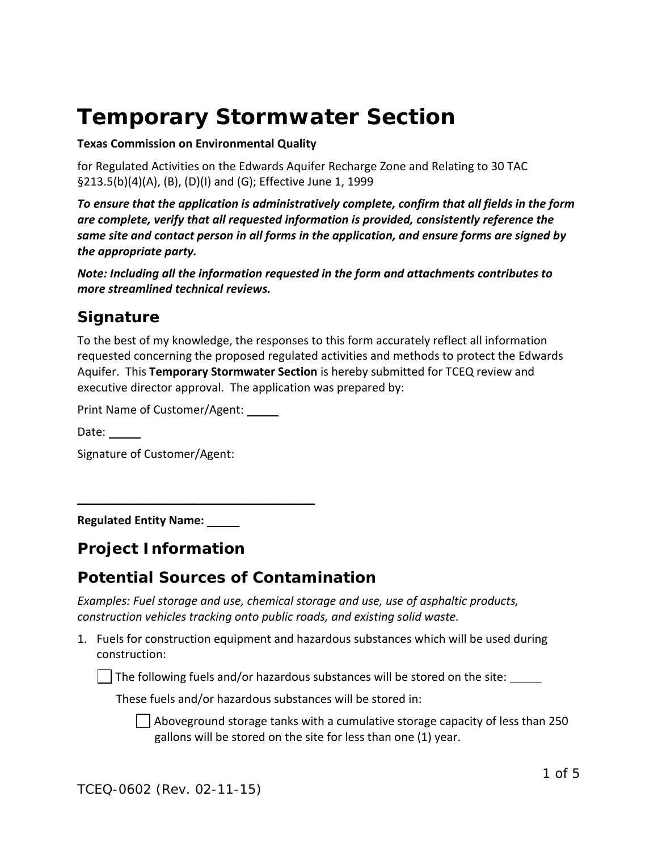# **Temporary Stormwater Section**

#### **Texas Commission on Environmental Quality**

for Regulated Activities on the Edwards Aquifer Recharge Zone and Relating to 30 TAC §213.5(b)(4)(A), (B), (D)(I) and (G); Effective June 1, 1999

*To ensure that the application is administratively complete, confirm that all fields in the form are complete, verify that all requested information is provided, consistently reference the same site and contact person in all forms in the application, and ensure forms are signed by the appropriate party.* 

*Note: Including all the information requested in the form and attachments contributes to more streamlined technical reviews.*

### *Signature*

To the best of my knowledge, the responses to this form accurately reflect all information requested concerning the proposed regulated activities and methods to protect the Edwards Aquifer. This **Temporary Stormwater Section** is hereby submitted for TCEQ review and executive director approval. The application was prepared by:

Print Name of Customer/Agent:

 $\overline{\phantom{a}}$  , where  $\overline{\phantom{a}}$  , where  $\overline{\phantom{a}}$  , where  $\overline{\phantom{a}}$  ,  $\overline{\phantom{a}}$  ,  $\overline{\phantom{a}}$  ,  $\overline{\phantom{a}}$  ,  $\overline{\phantom{a}}$  ,  $\overline{\phantom{a}}$  ,  $\overline{\phantom{a}}$  ,  $\overline{\phantom{a}}$  ,  $\overline{\phantom{a}}$  ,  $\overline{\phantom{a}}$  ,  $\overline{\phantom{a}}$  ,  $\overline{\phantom$ 

Date:

Signature of Customer/Agent:

**Regulated Entity Name:** 

#### *Project Information*

#### *Potential Sources of Contamination*

*Examples: Fuel storage and use, chemical storage and use, use of asphaltic products, construction vehicles tracking onto public roads, and existing solid waste.*

1. Fuels for construction equipment and hazardous substances which will be used during construction:

 $\vert$  The following fuels and/or hazardous substances will be stored on the site:  $\rule{1em}{0.15mm}$ 

These fuels and/or hazardous substances will be stored in:

 $\vert\,\,\,\vert$  Aboveground storage tanks with a cumulative storage capacity of less than 250 gallons will be stored on the site for less than one (1) year.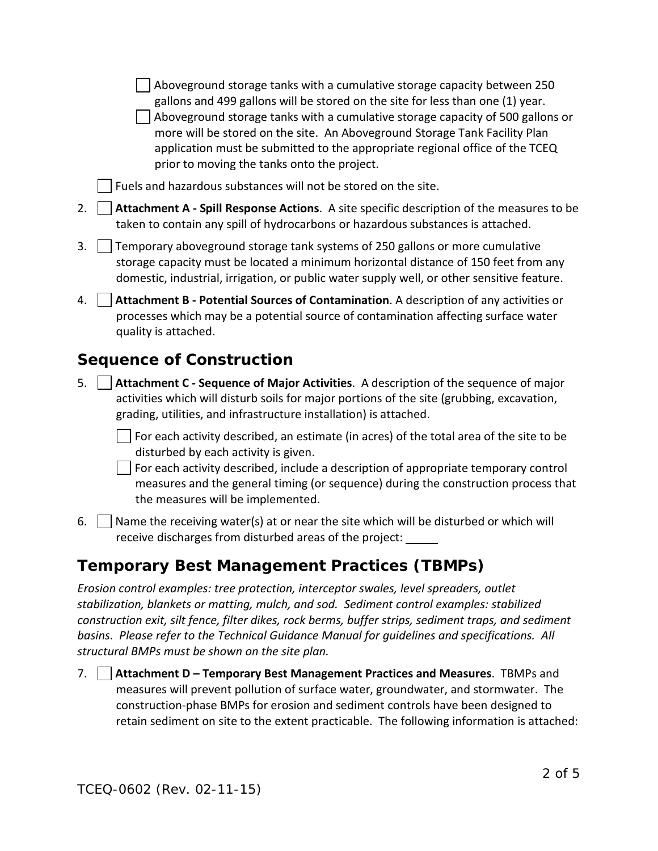$\vert$  Aboveground storage tanks with a cumulative storage capacity between 250 gallons and 499 gallons will be stored on the site for less than one (1) year.  $\vert$   $\vert$  Aboveground storage tanks with a cumulative storage capacity of 500 gallons or more will be stored on the site. An Aboveground Storage Tank Facility Plan application must be submitted to the appropriate regional office of the TCEQ prior to moving the tanks onto the project.

Fuels and hazardous substances will not be stored on the site.

- 2. **Attachment A - Spill Response Actions**. A site specific description of the measures to be taken to contain any spill of hydrocarbons or hazardous substances is attached.
- 3. Temporary aboveground storage tank systems of 250 gallons or more cumulative storage capacity must be located a minimum horizontal distance of 150 feet from any domestic, industrial, irrigation, or public water supply well, or other sensitive feature.
- 4. **Attachment B - Potential Sources of Contamination**. A description of any activities or processes which may be a potential source of contamination affecting surface water quality is attached.

# *Sequence of Construction*

5. **Attachment C - Sequence of Major Activities**. A description of the sequence of major activities which will disturb soils for major portions of the site (grubbing, excavation, grading, utilities, and infrastructure installation) is attached.

 $\vert \ \vert$  For each activity described, an estimate (in acres) of the total area of the site to be disturbed by each activity is given.

 $\vert \ \vert$  For each activity described, include a description of appropriate temporary control measures and the general timing (or sequence) during the construction process that the measures will be implemented.

6.  $\parallel$  Name the receiving water(s) at or near the site which will be disturbed or which will receive discharges from disturbed areas of the project:

## *Temporary Best Management Practices (TBMPs)*

*Erosion control examples: tree protection, interceptor swales, level spreaders, outlet stabilization, blankets or matting, mulch, and sod. Sediment control examples: stabilized construction exit, silt fence, filter dikes, rock berms, buffer strips, sediment traps, and sediment basins. Please refer to the Technical Guidance Manual for guidelines and specifications. All structural BMPs must be shown on the site plan.*

7. **Attachment D – Temporary Best Management Practices and Measures**. TBMPs and measures will prevent pollution of surface water, groundwater, and stormwater. The construction-phase BMPs for erosion and sediment controls have been designed to retain sediment on site to the extent practicable. The following information is attached: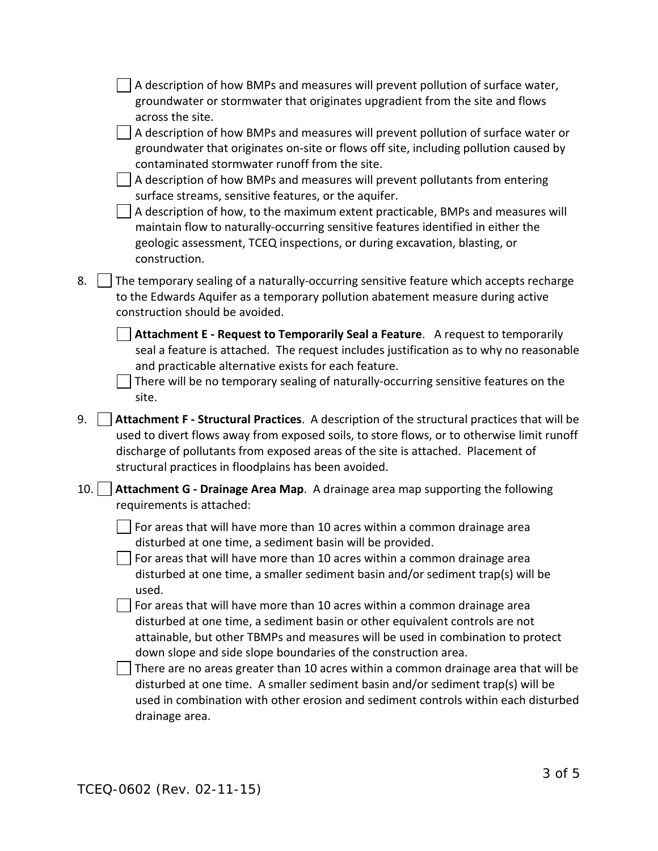|     | A description of how BMPs and measures will prevent pollution of surface water,<br>groundwater or stormwater that originates upgradient from the site and flows<br>across the site.<br>A description of how BMPs and measures will prevent pollution of surface water or<br>groundwater that originates on-site or flows off site, including pollution caused by<br>contaminated stormwater runoff from the site.<br>A description of how BMPs and measures will prevent pollutants from entering<br>surface streams, sensitive features, or the aquifer.<br>A description of how, to the maximum extent practicable, BMPs and measures will<br>maintain flow to naturally-occurring sensitive features identified in either the<br>geologic assessment, TCEQ inspections, or during excavation, blasting, or<br>construction. |
|-----|--------------------------------------------------------------------------------------------------------------------------------------------------------------------------------------------------------------------------------------------------------------------------------------------------------------------------------------------------------------------------------------------------------------------------------------------------------------------------------------------------------------------------------------------------------------------------------------------------------------------------------------------------------------------------------------------------------------------------------------------------------------------------------------------------------------------------------|
| 8.  | The temporary sealing of a naturally-occurring sensitive feature which accepts recharge<br>to the Edwards Aquifer as a temporary pollution abatement measure during active<br>construction should be avoided.                                                                                                                                                                                                                                                                                                                                                                                                                                                                                                                                                                                                                  |
|     | Attachment E - Request to Temporarily Seal a Feature. A request to temporarily<br>seal a feature is attached. The request includes justification as to why no reasonable<br>and practicable alternative exists for each feature.<br>There will be no temporary sealing of naturally-occurring sensitive features on the<br>site.                                                                                                                                                                                                                                                                                                                                                                                                                                                                                               |
| 9.  | Attachment F - Structural Practices. A description of the structural practices that will be<br>used to divert flows away from exposed soils, to store flows, or to otherwise limit runoff<br>discharge of pollutants from exposed areas of the site is attached. Placement of<br>structural practices in floodplains has been avoided.                                                                                                                                                                                                                                                                                                                                                                                                                                                                                         |
| 10. | Attachment G - Drainage Area Map. A drainage area map supporting the following<br>requirements is attached:                                                                                                                                                                                                                                                                                                                                                                                                                                                                                                                                                                                                                                                                                                                    |
|     | For areas that will have more than 10 acres within a common drainage area<br>disturbed at one time, a sediment basin will be provided.<br>For areas that will have more than 10 acres within a common drainage area<br>disturbed at one time, a smaller sediment basin and/or sediment trap(s) will be<br>used.                                                                                                                                                                                                                                                                                                                                                                                                                                                                                                                |
|     | For areas that will have more than 10 acres within a common drainage area<br>disturbed at one time, a sediment basin or other equivalent controls are not<br>attainable, but other TBMPs and measures will be used in combination to protect<br>down slope and side slope boundaries of the construction area.<br>There are no areas greater than 10 acres within a common drainage area that will be<br>disturbed at one time. A smaller sediment basin and/or sediment trap(s) will be<br>used in combination with other erosion and sediment controls within each disturbed<br>drainage area.                                                                                                                                                                                                                               |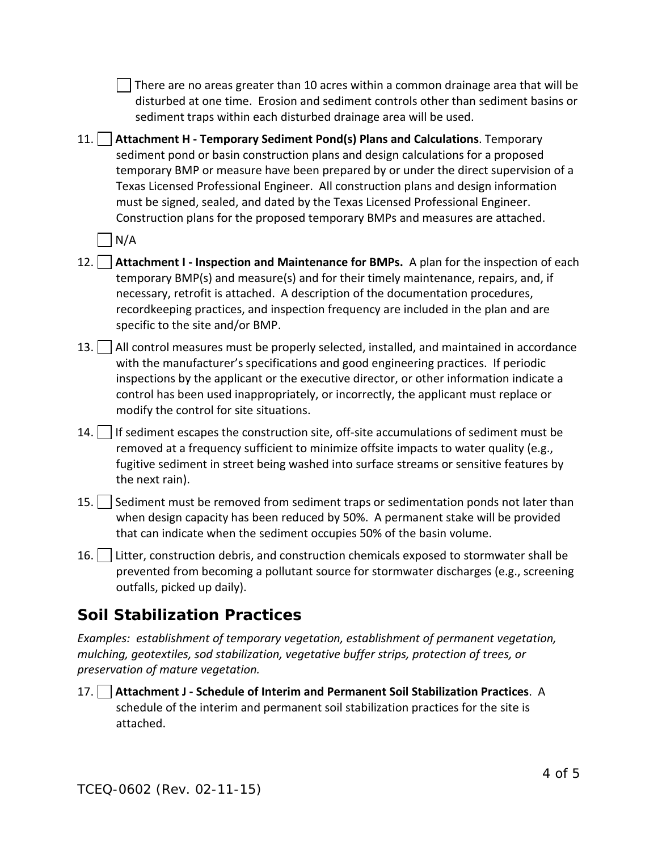|                                                                                                                                                                                                                              | There are no areas greater than 10 acres within a common drainage area that will be<br>disturbed at one time. Erosion and sediment controls other than sediment basins or<br>sediment traps within each disturbed drainage area will be used.                                                                                                                                                                                                                                                                           |  |
|------------------------------------------------------------------------------------------------------------------------------------------------------------------------------------------------------------------------------|-------------------------------------------------------------------------------------------------------------------------------------------------------------------------------------------------------------------------------------------------------------------------------------------------------------------------------------------------------------------------------------------------------------------------------------------------------------------------------------------------------------------------|--|
|                                                                                                                                                                                                                              | 11.<br>Attachment H - Temporary Sediment Pond(s) Plans and Calculations. Temporary<br>sediment pond or basin construction plans and design calculations for a proposed<br>temporary BMP or measure have been prepared by or under the direct supervision of a<br>Texas Licensed Professional Engineer. All construction plans and design information<br>must be signed, sealed, and dated by the Texas Licensed Professional Engineer.<br>Construction plans for the proposed temporary BMPs and measures are attached. |  |
|                                                                                                                                                                                                                              | N/A                                                                                                                                                                                                                                                                                                                                                                                                                                                                                                                     |  |
|                                                                                                                                                                                                                              | Attachment I - Inspection and Maintenance for BMPs. A plan for the inspection of each<br>12.<br>temporary BMP(s) and measure(s) and for their timely maintenance, repairs, and, if<br>necessary, retrofit is attached. A description of the documentation procedures,<br>recordkeeping practices, and inspection frequency are included in the plan and are<br>specific to the site and/or BMP.                                                                                                                         |  |
|                                                                                                                                                                                                                              | All control measures must be properly selected, installed, and maintained in accordance<br>13.<br>with the manufacturer's specifications and good engineering practices. If periodic<br>inspections by the applicant or the executive director, or other information indicate a<br>control has been used inappropriately, or incorrectly, the applicant must replace or<br>modify the control for site situations.                                                                                                      |  |
|                                                                                                                                                                                                                              | 14.<br>If sediment escapes the construction site, off-site accumulations of sediment must be<br>removed at a frequency sufficient to minimize offsite impacts to water quality (e.g.,<br>fugitive sediment in street being washed into surface streams or sensitive features by<br>the next rain).                                                                                                                                                                                                                      |  |
|                                                                                                                                                                                                                              | Sediment must be removed from sediment traps or sedimentation ponds not later than<br>15.<br>when design capacity has been reduced by 50%. A permanent stake will be provided<br>that can indicate when the sediment occupies 50% of the basin volume.                                                                                                                                                                                                                                                                  |  |
|                                                                                                                                                                                                                              | Litter, construction debris, and construction chemicals exposed to stormwater shall be<br>16.<br>prevented from becoming a pollutant source for stormwater discharges (e.g., screening<br>outfalls, picked up daily).                                                                                                                                                                                                                                                                                                   |  |
| <b>Soil Stabilization Practices</b>                                                                                                                                                                                          |                                                                                                                                                                                                                                                                                                                                                                                                                                                                                                                         |  |
| Examples: establishment of temporary vegetation, establishment of permanent vegetation,<br>mulching, geotextiles, sod stabilization, vegetative buffer strips, protection of trees, or<br>preservation of mature vegetation. |                                                                                                                                                                                                                                                                                                                                                                                                                                                                                                                         |  |
|                                                                                                                                                                                                                              | $17$ Attachment I. Schodule of Interim and Permanent Soil Stabilization Practices $\Delta$                                                                                                                                                                                                                                                                                                                                                                                                                              |  |

17. **Attachment J - Schedule of Interim and Permanent Soil Stabilization Practices**. A schedule of the interim and permanent soil stabilization practices for the site is attached.